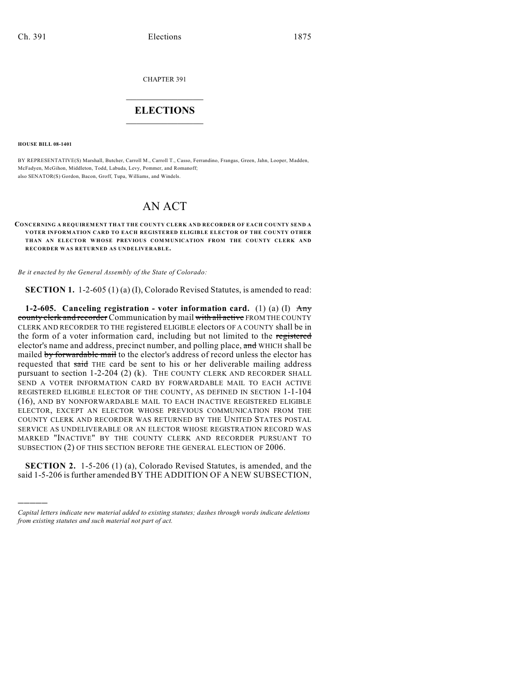CHAPTER 391

## $\mathcal{L}_\text{max}$  . The set of the set of the set of the set of the set of the set of the set of the set of the set of the set of the set of the set of the set of the set of the set of the set of the set of the set of the set **ELECTIONS**  $\_$

**HOUSE BILL 08-1401**

)))))

BY REPRESENTATIVE(S) Marshall, Butcher, Carroll M., Carroll T., Casso, Ferrandino, Frangas, Green, Jahn, Looper, Madden, McFadyen, McGihon, Middleton, Todd, Labuda, Levy, Pommer, and Romanoff; also SENATOR(S) Gordon, Bacon, Groff, Tupa, Williams, and Windels.

## AN ACT

## **CONCERNING A REQUIREMENT THAT THE COUNTY CLERK AND RECORDER OF EACH COUNTY SEND A VOTER INFORMATION CARD TO EACH REGISTERED ELIGIBLE ELECTOR OF THE COUNTY OTHER THAN AN ELECTOR WHOSE PREVIOUS COM MUNICATION FROM THE COUNTY CLERK AND RECORDER WAS RETURNED AS UNDELIVERABLE.**

*Be it enacted by the General Assembly of the State of Colorado:*

**SECTION 1.** 1-2-605 (1) (a) (I), Colorado Revised Statutes, is amended to read:

**1-2-605. Canceling registration - voter information card.** (1) (a) (I) Any county clerk and recorder Communication by mail with all active FROM THE COUNTY CLERK AND RECORDER TO THE registered ELIGIBLE electors OF A COUNTY shall be in the form of a voter information card, including but not limited to the registered elector's name and address, precinct number, and polling place, and WHICH shall be mailed by forwardable mail to the elector's address of record unless the elector has requested that said THE card be sent to his or her deliverable mailing address pursuant to section 1-2-204 (2) (k). THE COUNTY CLERK AND RECORDER SHALL SEND A VOTER INFORMATION CARD BY FORWARDABLE MAIL TO EACH ACTIVE REGISTERED ELIGIBLE ELECTOR OF THE COUNTY, AS DEFINED IN SECTION 1-1-104 (16), AND BY NONFORWARDABLE MAIL TO EACH INACTIVE REGISTERED ELIGIBLE ELECTOR, EXCEPT AN ELECTOR WHOSE PREVIOUS COMMUNICATION FROM THE COUNTY CLERK AND RECORDER WAS RETURNED BY THE UNITED STATES POSTAL SERVICE AS UNDELIVERABLE OR AN ELECTOR WHOSE REGISTRATION RECORD WAS MARKED "INACTIVE" BY THE COUNTY CLERK AND RECORDER PURSUANT TO SUBSECTION (2) OF THIS SECTION BEFORE THE GENERAL ELECTION OF 2006.

**SECTION 2.** 1-5-206 (1) (a), Colorado Revised Statutes, is amended, and the said 1-5-206 is further amended BY THE ADDITION OF A NEW SUBSECTION,

*Capital letters indicate new material added to existing statutes; dashes through words indicate deletions from existing statutes and such material not part of act.*